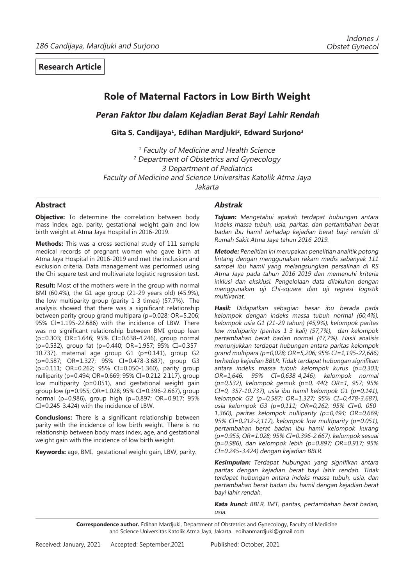# **Role of Maternal Factors in Low Birth Weight**

**Peran Faktor Ibu dalam Kejadian Berat Bayi Lahir Rendah** 

**Gita S. Candijaya1, Edihan Mardjuki2, Edward Surjono3**

<sup>1</sup> Faculty of Medicine and Health Science <sup>2</sup> Department of Obstetrics and Gynecology 3 Department of Pediatrics Faculty of Medicine and Science Universitas Katolik Atma Jaya Jakarta

## **Abstract**

**Objective:** To determine the correlation between body mass index, age, parity, gestational weight gain and low birth weight at Atma Jaya Hospital in 2016-2019.

**Methods:** This was a cross-sectional study of 111 sample medical records of pregnant women who gave birth at Atma Jaya Hospital in 2016-2019 and met the inclusion and exclusion criteria. Data management was performed using the Chi-square test and multivariate logistic regression test.

**Result:** Most of the mothers were in the group with normal BMI (60.4%), the G1 age group (21-29 years old) (45.9%), the low multiparity group (parity 1-3 times) (57.7%). The analysis showed that there was a significant relationship between parity group grand multipara (p=0.028; OR=5.206; 95% CI=1.195-22.686) with the incidence of LBW. There was no significant relationship between BMI group lean (p=0.303; OR=1.646; 95% CI=0.638-4.246), group normal (p=0.532), group fat (p=0.440; OR=1.957; 95% CI=0.357- 10.737), maternal age group G1 (p=0.141), group G2 (p=0.587; OR=1.327; 95% CI=0.478-3.687), group G3 (p=0.111; OR=0.262; 95% CI=0.050-1.360), parity group nulliparity (p=0.494; OR=0.669; 95% CI=0.212-2.117), group low multiparity (p=0.051), and gestational weight gain group low (p=0.955; OR=1.028; 95% CI=0.396-2.667), group normal (p=0.986), group high (p=0.897; OR=0.917; 95% CI=0.245-3.424) with the incidence of LBW.

**Conclusions:** There is a significant relationship between parity with the incidence of low birth weight. There is no relationship between body mass index, age, and gestational weight gain with the incidence of low birth weight.

**Keywords:** age, BMI, gestational weight gain, LBW, parity.

## **Abstrak**

**Tujuan:** Mengetahui apakah terdapat hubungan antara indeks massa tubuh, usia, paritas, dan pertambahan berat badan ibu hamil terhadap kejadian berat bayi rendah di Rumah Sakit Atma Jaya tahun 2016-2019.

**Metode:** Penelitian ini merupakan penelitian analitik potong lintang dengan menggunakan rekam medis sebanyak 111 sampel ibu hamil yang melangsungkan persalinan di RS Atma Jaya pada tahun 2016-2019 dan memenuhi kriteria inklusi dan eksklusi. Pengelolaan data dilakukan dengan menggunakan uji Chi-square dan uji regresi logistik multivariat.

**Hasil:** Didapatkan sebagian besar ibu berada pada kelompok dengan indeks massa tubuh normal (60,4%), kelompok usia G1 (21-29 tahun) (45,9%), kelompok paritas low multiparity (paritas 1-3 kali) (57,7%), dan kelompok pertambahan berat badan normal (47,7%). Hasil analisis menunjukkan terdapat hubungan antara paritas kelompok grand multipara (p=0,028; OR=5,206; 95% CI=1,195-22,686) terhadap kejadian BBLR. Tidak terdapat hubungan signifikan antara indeks massa tubuh kelompok kurus ( $p=0,303$ ; OR=1,646; 95% CI=0,638-4,246), kelompok normal (p=0,532), kelompok gemuk (p=0, 440; OR=1, 957; 95%  $CI=0$ , 357-10.737), usia ibu hamil kelompok G1 (p=0,141), kelompok G2 (p=0,587; OR=1,327; 95% CI=0,478-3,687), usia kelompok G3 (p=0,111; OR=0,262; 95% CI=0, 050- 1,360), paritas kelompok nulliparity (p=0,494; OR=0,669; 95% CI=0,212-2,117), kelompok low multiparity (p=0.051), pertambahan berat badan ibu hamil kelompok kurang (p=0.955; OR=1.028; 95% CI=0.396-2.667), kelompok sesuai (p=0.986), dan kelompok lebih (p=0.897; OR=0.917; 95% CI=0.245-3.424) dengan kejadian BBLR.

**Kesimpulan:** Terdapat hubungan yang signifikan antara paritas dengan kejadian berat bayi lahir rendah. Tidak terdapat hubungan antara indeks massa tubuh, usia, dan pertambahan berat badan ibu hamil dengan kejadian berat bayi lahir rendah.

**Kata kunci:** BBLR, IMT, paritas, pertambahan berat badan, usia.

**Correspondence author.** Edihan Mardjuki, Department of Obstetrics and Gynecology, Faculty of Medicine and Science Universitas Katolik Atma Jaya, Jakarta. edihanmardjuki@gmail.com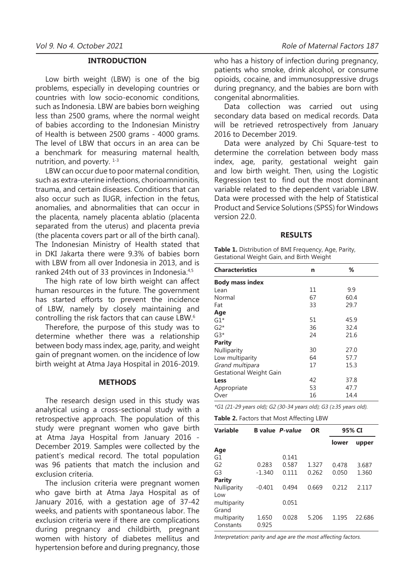## **INTRODUCTION**

Low birth weight (LBW) is one of the big problems, especially in developing countries or countries with low socio-economic conditions, such as Indonesia. LBW are babies born weighing less than 2500 grams, where the normal weight of babies according to the Indonesian Ministry of Health is between 2500 grams - 4000 grams. The level of LBW that occurs in an area can be a benchmark for measuring maternal health, nutrition, and poverty.  $1-3$ 

LBW can occur due to poor maternal condition, such as extra-uterine infections, chorioamnionitis, trauma, and certain diseases. Conditions that can also occur such as IUGR, infection in the fetus, anomalies, and abnormalities that can occur in the placenta, namely placenta ablatio (placenta separated from the uterus) and placenta previa (the placenta covers part or all of the birth canal). The Indonesian Ministry of Health stated that in DKI Jakarta there were 9.3% of babies born with LBW from all over Indonesia in 2013, and is ranked 24th out of 33 provinces in Indonesia.4,5

The high rate of low birth weight can affect human resources in the future. The government has started efforts to prevent the incidence of LBW, namely by closely maintaining and controlling the risk factors that can cause LBW.6

Therefore, the purpose of this study was to determine whether there was a relationship between body mass index, age, parity, and weight gain of pregnant women. on the incidence of low birth weight at Atma Jaya Hospital in 2016-2019.

#### **METHODS**

The research design used in this study was analytical using a cross-sectional study with a retrospective approach. The population of this study were pregnant women who gave birth at Atma Jaya Hospital from January 2016 - December 2019. Samples were collected by the patient's medical record. The total population was 96 patients that match the inclusion and exclusion criteria.

The inclusion criteria were pregnant women who gave birth at Atma Jaya Hospital as of January 2016, with a gestation age of 37-42 weeks, and patients with spontaneous labor. The exclusion criteria were if there are complications during pregnancy and childbirth, pregnant women with history of diabetes mellitus and hypertension before and during pregnancy, those

who has a history of infection during pregnancy, patients who smoke, drink alcohol, or consume opioids, cocaine, and immunosuppressive drugs during pregnancy, and the babies are born with congenital abnormalities.

Data collection was carried out using secondary data based on medical records. Data will be retrieved retrospectively from January 2016 to December 2019.

Data were analyzed by Chi Square-test to determine the correlation between body mass index, age, parity, gestational weight gain and low birth weight. Then, using the Logistic Regression test to find out the most dominant variable related to the dependent variable LBW. Data were processed with the help of Statistical Product and Service Solutions (SPSS) for Windows version 22.0.

#### **RESULTS**

**Table 1.** Distribution of BMI Frequency, Age, Parity, Gestational Weight Gain, and Birth Weight

| <b>Characteristics</b>  | n  | ℅    |
|-------------------------|----|------|
| <b>Body mass index</b>  |    |      |
| Lean                    | 11 | 9.9  |
| Normal                  | 67 | 60.4 |
| Fat                     | 33 | 29.7 |
| Age                     |    |      |
| $G1*$                   | 51 | 45.9 |
| $G2*$                   | 36 | 32.4 |
| $G3*$                   | 24 | 21.6 |
| <b>Parity</b>           |    |      |
| Nulliparity             | 30 | 27.0 |
| Low multiparity         | 64 | 57.7 |
| Grand multipara         | 17 | 15.3 |
| Gestational Weight Gain |    |      |
| Less                    | 42 | 37.8 |
| Appropriate             | 53 | 47.7 |
| Over                    | 16 | 14.4 |

\*G1 (21-29 years old); G2 (30-34 years old); G3 (≥35 years old).

**Table 2.** Factors that Most Affecting LBW

| <b>Variable</b> |          | <b>B</b> value P-value | <b>OR</b> | 95% CI |        |
|-----------------|----------|------------------------|-----------|--------|--------|
|                 |          |                        |           | lower  | upper  |
| Age             |          |                        |           |        |        |
| G1              |          | 0.141                  |           |        |        |
| G <sub>2</sub>  | 0.283    | 0.587                  | 1.327     | 0.478  | 3.687  |
| G <sub>3</sub>  | $-1.340$ | 0.111                  | 0.262     | 0.050  | 1.360  |
| <b>Parity</b>   |          |                        |           |        |        |
| Nulliparity     | $-0.401$ | 0.494                  | 0.669     | 0.212  | 2.117  |
| Low             |          |                        |           |        |        |
| multiparity     |          | 0.051                  |           |        |        |
| Grand           |          |                        |           |        |        |
| multiparity     | 1.650    | 0.028                  | 5.206     | 1.195  | 22.686 |
| Constants       | 0.925    |                        |           |        |        |

Interpretation: parity and age are the most affecting factors.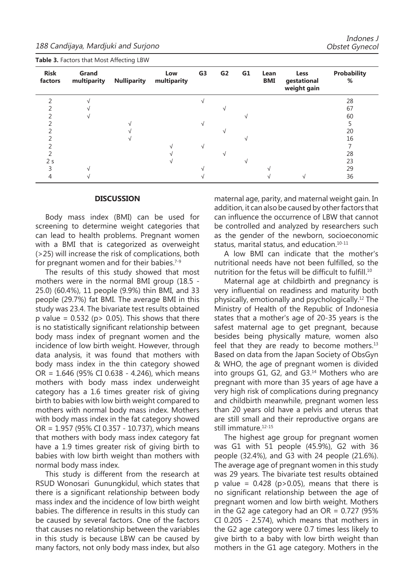188 Candijaya, Mardjuki and Surjono

|                        |                      | ັ                  |                    |                |                |    |                    |                                    |                         |
|------------------------|----------------------|--------------------|--------------------|----------------|----------------|----|--------------------|------------------------------------|-------------------------|
| <b>Risk</b><br>factors | Grand<br>multiparity | <b>Nulliparity</b> | Low<br>multiparity | G <sub>3</sub> | G <sub>2</sub> | G1 | Lean<br><b>BMI</b> | Less<br>gestational<br>weight gain | <b>Probability</b><br>% |
|                        |                      |                    |                    |                |                |    |                    |                                    | 28                      |
|                        |                      |                    |                    |                |                |    |                    |                                    | 67                      |
|                        |                      |                    |                    |                |                |    |                    |                                    | 60                      |
|                        |                      |                    |                    |                |                |    |                    |                                    |                         |
|                        |                      |                    |                    |                |                |    |                    |                                    | 20                      |
|                        |                      |                    |                    |                |                |    |                    |                                    | 16                      |
|                        |                      |                    |                    | √              |                |    |                    |                                    |                         |
|                        |                      |                    |                    |                |                |    |                    |                                    | 28                      |
| 2 <sub>s</sub>         |                      |                    |                    |                |                |    |                    |                                    | 23                      |
|                        |                      |                    |                    |                |                |    |                    |                                    | 29                      |
|                        |                      |                    |                    |                |                |    |                    |                                    | 36                      |

**Table 3.** Factors that Most Affecting LBW

#### **DISCUSSION**

Body mass index (BMI) can be used for screening to determine weight categories that can lead to health problems. Pregnant women with a BMI that is categorized as overweight (>25) will increase the risk of complications, both for pregnant women and for their babies.<sup> $7-9$ </sup>

The results of this study showed that most mothers were in the normal BMI group (18.5 - 25.0) (60.4%), 11 people (9.9%) thin BMI, and 33 people (29.7%) fat BMI. The average BMI in this study was 23.4. The bivariate test results obtained p value =  $0.532$  (p > 0.05). This shows that there is no statistically significant relationship between body mass index of pregnant women and the incidence of low birth weight. However, through data analysis, it was found that mothers with body mass index in the thin category showed OR = 1.646 (95% CI 0.638 - 4.246), which means mothers with body mass index underweight category has a 1.6 times greater risk of giving birth to babies with low birth weight compared to mothers with normal body mass index. Mothers with body mass index in the fat category showed OR = 1.957 (95% CI 0.357 - 10.737), which means that mothers with body mass index category fat have a 1.9 times greater risk of giving birth to babies with low birth weight than mothers with normal body mass index.

This study is different from the research at RSUD Wonosari Gunungkidul, which states that there is a significant relationship between body mass index and the incidence of low birth weight babies. The difference in results in this study can be caused by several factors. One of the factors that causes no relationship between the variables in this study is because LBW can be caused by many factors, not only body mass index, but also maternal age, parity, and maternal weight gain. In addition, it can also be caused by other factors that can influence the occurrence of LBW that cannot be controlled and analyzed by researchers such as the gender of the newborn, socioeconomic status, marital status, and education.<sup>10-11</sup>

A low BMI can indicate that the mother's nutritional needs have not been fulfilled, so the nutrition for the fetus will be difficult to fulfill.<sup>10</sup>

Maternal age at childbirth and pregnancy is very influential on readiness and maturity both physically, emotionally and psychologically.12 The Ministry of Health of the Republic of Indonesia states that a mother's age of 20-35 years is the safest maternal age to get pregnant, because besides being physically mature, women also feel that they are ready to become mothers. $13$ Based on data from the Japan Society of ObsGyn & WHO, the age of pregnant women is divided into groups G1, G2, and G3.<sup>14</sup> Mothers who are pregnant with more than 35 years of age have a very high risk of complications during pregnancy and childbirth meanwhile, pregnant women less than 20 years old have a pelvis and uterus that are still small and their reproductive organs are still immature.<sup>12-15</sup>

The highest age group for pregnant women was G1 with 51 people (45.9%), G2 with 36 people (32.4%), and G3 with 24 people (21.6%). The average age of pregnant women in this study was 29 years. The bivariate test results obtained p value =  $0.428$  (p>0.05), means that there is no significant relationship between the age of pregnant women and low birth weight. Mothers in the G2 age category had an  $OR = 0.727$  (95%) CI 0.205 - 2.574), which means that mothers in the G2 age category were 0.7 times less likely to give birth to a baby with low birth weight than mothers in the G1 age category. Mothers in the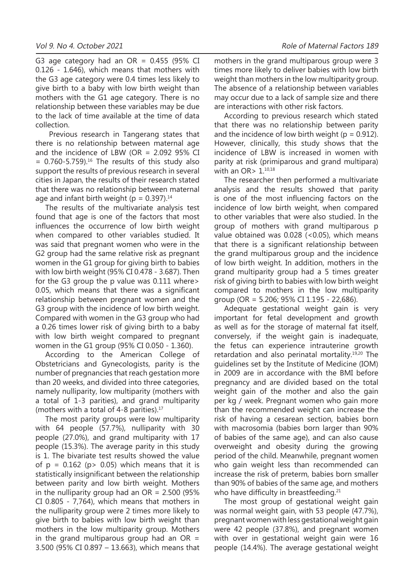G3 age category had an  $OR = 0.455$  (95% CI 0.126 - 1.646), which means that mothers with the G3 age category were 0.4 times less likely to give birth to a baby with low birth weight than mothers with the G1 age category. There is no relationship between these variables may be due to the lack of time available at the time of data collection.

 Previous research in Tangerang states that there is no relationship between maternal age and the incidence of LBW (OR  $= 2.092$  95% CI  $= 0.760 - 5.759$ <sup>16</sup> The results of this study also support the results of previous research in several cities in Japan, the results of their research stated that there was no relationship between maternal age and infant birth weight ( $p = 0.397$ ).<sup>14</sup>

The results of the multivariate analysis test found that age is one of the factors that most influences the occurrence of low birth weight when compared to other variables studied. It was said that pregnant women who were in the G2 group had the same relative risk as pregnant women in the G1 group for giving birth to babies with low birth weight (95% CI 0.478 - 3.687). Then for the G3 group the p value was 0.111 where> 0.05, which means that there was a significant relationship between pregnant women and the G3 group with the incidence of low birth weight. Compared with women in the G3 group who had a 0.26 times lower risk of giving birth to a baby with low birth weight compared to pregnant women in the G1 group (95% CI 0.050 - 1.360).

According to the American College of Obstetricians and Gynecologists, parity is the number of pregnancies that reach gestation more than 20 weeks, and divided into three categories, namely nulliparity, low multiparity (mothers with a total of 1-3 parities), and grand multiparity (mothers with a total of 4-8 parities).<sup>17</sup>

The most parity groups were low multiparity with 64 people (57.7%), nulliparity with 30 people (27.0%), and grand multiparity with 17 people (15.3%). The average parity in this study is 1. The bivariate test results showed the value of  $p = 0.162$  ( $p > 0.05$ ) which means that it is statistically insignificant between the relationship between parity and low birth weight. Mothers in the nulliparity group had an  $OR = 2.500$  (95%) CI 0.805 - 7,764), which means that mothers in the nulliparity group were 2 times more likely to give birth to babies with low birth weight than mothers in the low multiparity group. Mothers in the grand multiparous group had an  $OR =$ 3.500 (95% CI 0.897 – 13.663), which means that mothers in the grand multiparous group were 3 times more likely to deliver babies with low birth weight than mothers in the low multiparity group. The absence of a relationship between variables may occur due to a lack of sample size and there are interactions with other risk factors.

According to previous research which stated that there was no relationship between parity and the incidence of low birth weight ( $p = 0.912$ ). However, clinically, this study shows that the incidence of LBW is increased in women with parity at risk (primiparous and grand multipara) with an OR> 1.10,18

The researcher then performed a multivariate analysis and the results showed that parity is one of the most influencing factors on the incidence of low birth weight, when compared to other variables that were also studied. In the group of mothers with grand multiparous p value obtained was 0.028 (<0.05), which means that there is a significant relationship between the grand multiparous group and the incidence of low birth weight. In addition, mothers in the grand multiparity group had a 5 times greater risk of giving birth to babies with low birth weight compared to mothers in the low multiparity group (OR = 5.206; 95% CI 1.195 - 22,686).

Adequate gestational weight gain is very important for fetal development and growth as well as for the storage of maternal fat itself, conversely, if the weight gain is inadequate, the fetus can experience intrauterine growth retardation and also perinatal mortality.19,20 The guidelines set by the Institute of Medicine (IOM) in 2009 are in accordance with the BMI before pregnancy and are divided based on the total weight gain of the mother and also the gain per kg / week. Pregnant women who gain more than the recommended weight can increase the risk of having a cesarean section, babies born with macrosomia (babies born larger than 90% of babies of the same age), and can also cause overweight and obesity during the growing period of the child. Meanwhile, pregnant women who gain weight less than recommended can increase the risk of preterm, babies born smaller than 90% of babies of the same age, and mothers who have difficulty in breastfeeding.<sup>21</sup>

The most group of gestational weight gain was normal weight gain, with 53 people (47.7%), pregnant women with less gestational weight gain were 42 people (37.8%), and pregnant women with over in gestational weight gain were 16 people (14.4%). The average gestational weight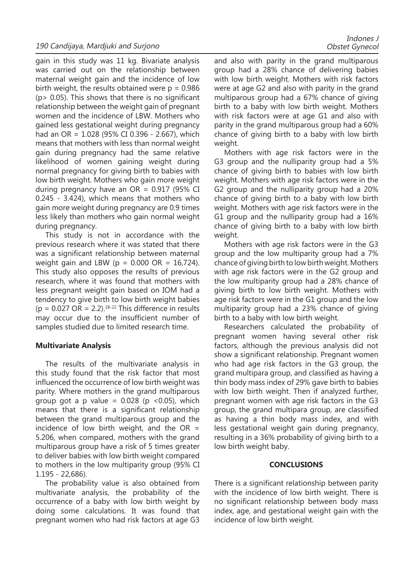gain in this study was 11 kg. Bivariate analysis was carried out on the relationship between maternal weight gain and the incidence of low birth weight, the results obtained were  $p = 0.986$  $(p > 0.05)$ . This shows that there is no significant relationship between the weight gain of pregnant women and the incidence of LBW. Mothers who gained less gestational weight during pregnancy had an OR = 1.028 (95% CI 0.396 - 2.667), which means that mothers with less than normal weight gain during pregnancy had the same relative likelihood of women gaining weight during normal pregnancy for giving birth to babies with low birth weight. Mothers who gain more weight during pregnancy have an  $OR = 0.917$  (95% CI 0.245 - 3.424), which means that mothers who gain more weight during pregnancy are 0.9 times less likely than mothers who gain normal weight during pregnancy.

This study is not in accordance with the previous research where it was stated that there was a significant relationship between maternal weight gain and LBW ( $p = 0.000 \text{ OR } = 16,724$ ). This study also opposes the results of previous research, where it was found that mothers with less pregnant weight gain based on IOM had a tendency to give birth to low birth weight babies  $(p = 0.027 \text{ OR} = 2.2).$ <sup>18-22</sup> This difference in results may occur due to the insufficient number of samples studied due to limited research time.

# **Multivariate Analysis**

The results of the multivariate analysis in this study found that the risk factor that most influenced the occurrence of low birth weight was parity. Where mothers in the grand multiparous group got a p value =  $0.028$  (p < 0.05), which means that there is a significant relationship between the grand multiparous group and the incidence of low birth weight, and the OR  $=$ 5.206, when compared, mothers with the grand multiparous group have a risk of 5 times greater to deliver babies with low birth weight compared to mothers in the low multiparity group (95% CI 1.195 - 22,686).

The probability value is also obtained from multivariate analysis, the probability of the occurrence of a baby with low birth weight by doing some calculations. It was found that pregnant women who had risk factors at age G3

and also with parity in the grand multiparous group had a 28% chance of delivering babies with low birth weight. Mothers with risk factors were at age G2 and also with parity in the grand multiparous group had a 67% chance of giving birth to a baby with low birth weight. Mothers with risk factors were at age G1 and also with parity in the grand multiparous group had a 60% chance of giving birth to a baby with low birth weight.

Mothers with age risk factors were in the G3 group and the nulliparity group had a 5% chance of giving birth to babies with low birth weight. Mothers with age risk factors were in the G2 group and the nulliparity group had a 20% chance of giving birth to a baby with low birth weight. Mothers with age risk factors were in the G1 group and the nulliparity group had a 16% chance of giving birth to a baby with low birth weight.

Mothers with age risk factors were in the G3 group and the low multiparity group had a 7% chance of giving birth to low birth weight. Mothers with age risk factors were in the G2 group and the low multiparity group had a 28% chance of giving birth to low birth weight. Mothers with age risk factors were in the G1 group and the low multiparity group had a 23% chance of giving birth to a baby with low birth weight.

Researchers calculated the probability of pregnant women having several other risk factors, although the previous analysis did not show a significant relationship. Pregnant women who had age risk factors in the G3 group, the grand multipara group, and classified as having a thin body mass index of 29% gave birth to babies with low birth weight. Then if analyzed further, pregnant women with age risk factors in the G3 group, the grand multipara group, are classified as having a thin body mass index, and with less gestational weight gain during pregnancy, resulting in a 36% probability of giving birth to a low birth weight baby.

# **CONCLUSIONS**

There is a significant relationship between parity with the incidence of low birth weight. There is no significant relationship between body mass index, age, and gestational weight gain with the incidence of low birth weight.